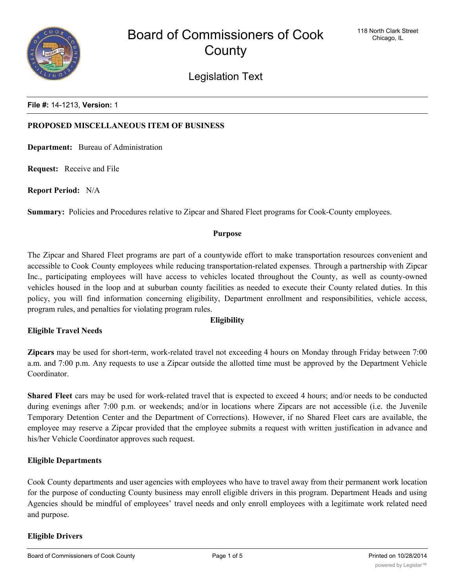

Legislation Text

**File #:** 14-1213, **Version:** 1

## **PROPOSED MISCELLANEOUS ITEM OF BUSINESS**

**Department:** Bureau of Administration

**Request:** Receive and File

**Report Period:** N/A

**Summary:** Policies and Procedures relative to Zipcar and Shared Fleet programs for Cook-County employees.

#### **Purpose**

The Zipcar and Shared Fleet programs are part of a countywide effort to make transportation resources convenient and accessible to Cook County employees while reducing transportation-related expenses. Through a partnership with Zipcar Inc., participating employees will have access to vehicles located throughout the County, as well as county-owned vehicles housed in the loop and at suburban county facilities as needed to execute their County related duties. In this policy, you will find information concerning eligibility, Department enrollment and responsibilities, vehicle access, program rules, and penalties for violating program rules.

## **Eligibility**

# **Eligible Travel Needs**

**Zipcars** may be used for short-term, work-related travel not exceeding 4 hours on Monday through Friday between 7:00 a.m. and 7:00 p.m. Any requests to use a Zipcar outside the allotted time must be approved by the Department Vehicle Coordinator.

**Shared Fleet** cars may be used for work-related travel that is expected to exceed 4 hours; and/or needs to be conducted during evenings after 7:00 p.m. or weekends; and/or in locations where Zipcars are not accessible (i.e. the Juvenile Temporary Detention Center and the Department of Corrections). However, if no Shared Fleet cars are available, the employee may reserve a Zipcar provided that the employee submits a request with written justification in advance and his/her Vehicle Coordinator approves such request.

## **Eligible Departments**

Cook County departments and user agencies with employees who have to travel away from their permanent work location for the purpose of conducting County business may enroll eligible drivers in this program. Department Heads and using Agencies should be mindful of employees' travel needs and only enroll employees with a legitimate work related need and purpose.

## **Eligible Drivers**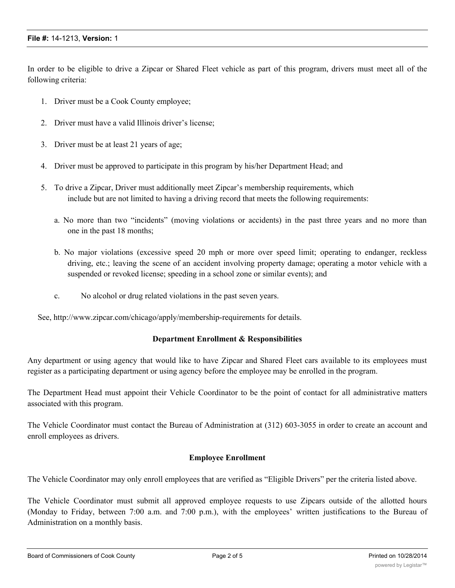In order to be eligible to drive a Zipcar or Shared Fleet vehicle as part of this program, drivers must meet all of the following criteria:

- 1. Driver must be a Cook County employee;
- 2. Driver must have a valid Illinois driver's license;
- 3. Driver must be at least 21 years of age;
- 4. Driver must be approved to participate in this program by his/her Department Head; and
- 5. To drive a Zipcar, Driver must additionally meet Zipcar's membership requirements, which include but are not limited to having a driving record that meets the following requirements:
	- a. No more than two "incidents" (moving violations or accidents) in the past three years and no more than one in the past 18 months;
	- b. No major violations (excessive speed 20 mph or more over speed limit; operating to endanger, reckless driving, etc.; leaving the scene of an accident involving property damage; operating a motor vehicle with a suspended or revoked license; speeding in a school zone or similar events); and
	- c. No alcohol or drug related violations in the past seven years.

See, http://www.zipcar.com/chicago/apply/membership-requirements for details.

## **Department Enrollment & Responsibilities**

Any department or using agency that would like to have Zipcar and Shared Fleet cars available to its employees must register as a participating department or using agency before the employee may be enrolled in the program.

The Department Head must appoint their Vehicle Coordinator to be the point of contact for all administrative matters associated with this program.

The Vehicle Coordinator must contact the Bureau of Administration at (312) 603-3055 in order to create an account and enroll employees as drivers.

## **Employee Enrollment**

The Vehicle Coordinator may only enroll employees that are verified as "Eligible Drivers" per the criteria listed above.

The Vehicle Coordinator must submit all approved employee requests to use Zipcars outside of the allotted hours (Monday to Friday, between 7:00 a.m. and 7:00 p.m.), with the employees' written justifications to the Bureau of Administration on a monthly basis.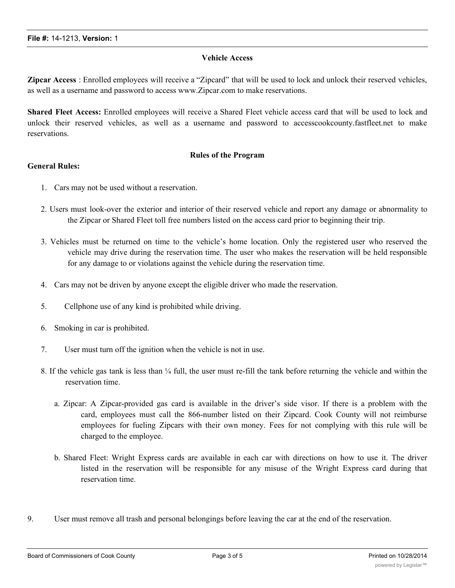### **Vehicle Access**

**Zipcar Access** : Enrolled employees will receive a "Zipcard" that will be used to lock and unlock their reserved vehicles, as well as a username and password to access www.Zipcar.com to make reservations.

**Shared Fleet Access:** Enrolled employees will receive a Shared Fleet vehicle access card that will be used to lock and unlock their reserved vehicles, as well as a username and password to accesscookcounty.fastfleet.net to make reservations.

## **Rules of the Program**

### **General Rules:**

- 1. Cars may not be used without a reservation.
- 2. Users must look-over the exterior and interior of their reserved vehicle and report any damage or abnormality to the Zipcar or Shared Fleet toll free numbers listed on the access card prior to beginning their trip.
- 3. Vehicles must be returned on time to the vehicle's home location. Only the registered user who reserved the vehicle may drive during the reservation time. The user who makes the reservation will be held responsible for any damage to or violations against the vehicle during the reservation time.
- 4. Cars may not be driven by anyone except the eligible driver who made the reservation.
- 5. Cellphone use of any kind is prohibited while driving.
- 6. Smoking in car is prohibited.
- 7. User must turn off the ignition when the vehicle is not in use.
- 8. If the vehicle gas tank is less than  $\frac{1}{4}$  full, the user must re-fill the tank before returning the vehicle and within the reservation time.
	- a. Zipcar: A Zipcar-provided gas card is available in the driver's side visor. If there is a problem with the card, employees must call the 866-number listed on their Zipcard. Cook County will not reimburse employees for fueling Zipcars with their own money. Fees for not complying with this rule will be charged to the employee.
	- b. Shared Fleet: Wright Express cards are available in each car with directions on how to use it. The driver listed in the reservation will be responsible for any misuse of the Wright Express card during that reservation time.
- 9. User must remove all trash and personal belongings before leaving the car at the end of the reservation.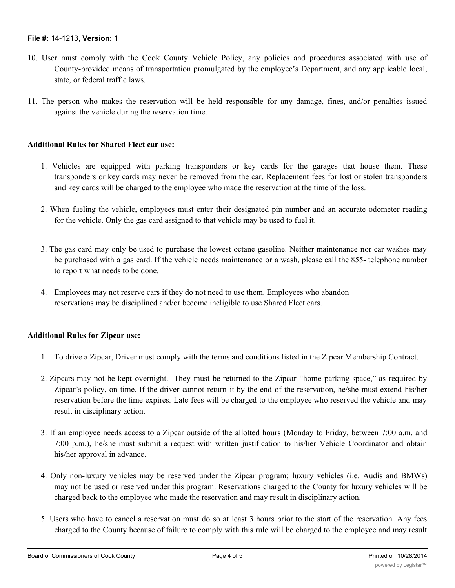# **File #:** 14-1213, **Version:** 1

- 10. User must comply with the Cook County Vehicle Policy, any policies and procedures associated with use of County-provided means of transportation promulgated by the employee's Department, and any applicable local, state, or federal traffic laws.
- 11. The person who makes the reservation will be held responsible for any damage, fines, and/or penalties issued against the vehicle during the reservation time.

### **Additional Rules for Shared Fleet car use:**

- 1. Vehicles are equipped with parking transponders or key cards for the garages that house them. These transponders or key cards may never be removed from the car. Replacement fees for lost or stolen transponders and key cards will be charged to the employee who made the reservation at the time of the loss.
- 2. When fueling the vehicle, employees must enter their designated pin number and an accurate odometer reading for the vehicle. Only the gas card assigned to that vehicle may be used to fuel it.
- 3. The gas card may only be used to purchase the lowest octane gasoline. Neither maintenance nor car washes may be purchased with a gas card. If the vehicle needs maintenance or a wash, please call the 855- telephone number to report what needs to be done.
- 4. Employees may not reserve cars if they do not need to use them. Employees who abandon reservations may be disciplined and/or become ineligible to use Shared Fleet cars.

## **Additional Rules for Zipcar use:**

- 1. To drive a Zipcar, Driver must comply with the terms and conditions listed in the Zipcar Membership Contract.
- 2. Zipcars may not be kept overnight. They must be returned to the Zipcar "home parking space," as required by Zipcar's policy, on time. If the driver cannot return it by the end of the reservation, he/she must extend his/her reservation before the time expires. Late fees will be charged to the employee who reserved the vehicle and may result in disciplinary action.
- 3. If an employee needs access to a Zipcar outside of the allotted hours (Monday to Friday, between 7:00 a.m. and 7:00 p.m.), he/she must submit a request with written justification to his/her Vehicle Coordinator and obtain his/her approval in advance.
- 4. Only non-luxury vehicles may be reserved under the Zipcar program; luxury vehicles (i.e. Audis and BMWs) may not be used or reserved under this program. Reservations charged to the County for luxury vehicles will be charged back to the employee who made the reservation and may result in disciplinary action.
- 5. Users who have to cancel a reservation must do so at least 3 hours prior to the start of the reservation. Any fees charged to the County because of failure to comply with this rule will be charged to the employee and may result